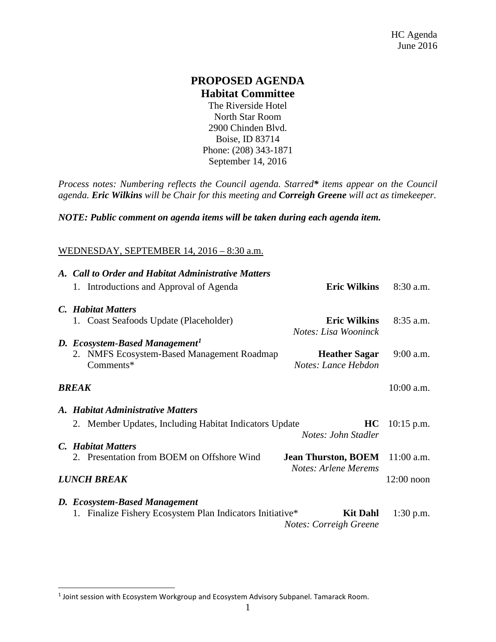## **PROPOSED AGENDA Habitat Committee**

The Riverside Hotel North Star Room 2900 Chinden Blvd. Boise, ID 83714 Phone: [\(208\)](javascript:void(0)) 343-1871 September 14, 2016

*Process notes: Numbering reflects the Council agenda. Starred\* items appear on the Council agenda. Eric Wilkins will be Chair for this meeting and Correigh Greene will act as timekeeper.* 

*NOTE: Public comment on agenda items will be taken during each agenda item.*

## WEDNESDAY, SEPTEMBER 14, 2016 – 8:30 a.m.

|              | A. Call to Order and Habitat Administrative Matters       |                                                    |              |  |  |
|--------------|-----------------------------------------------------------|----------------------------------------------------|--------------|--|--|
|              | 1. Introductions and Approval of Agenda                   | <b>Eric Wilkins</b>                                | $8:30$ a.m.  |  |  |
|              | C. Habitat Matters                                        |                                                    |              |  |  |
|              | 1. Coast Seafoods Update (Placeholder)                    | <b>Eric Wilkins</b><br>Notes: Lisa Wooninck        | $8:35$ a.m.  |  |  |
|              | D. Ecosystem-Based Management <sup>1</sup>                |                                                    |              |  |  |
|              | 2. NMFS Ecosystem-Based Management Roadmap<br>Comments*   | <b>Heather Sagar</b><br>Notes: Lance Hebdon        | $9:00$ a.m.  |  |  |
| <b>BREAK</b> |                                                           |                                                    |              |  |  |
|              | A. Habitat Administrative Matters                         |                                                    |              |  |  |
|              | 2. Member Updates, Including Habitat Indicators Update    | HC<br>Notes: John Stadler                          | $10:15$ p.m. |  |  |
|              | C. Habitat Matters                                        |                                                    |              |  |  |
|              | 2. Presentation from BOEM on Offshore Wind                | <b>Jean Thurston, BOEM</b><br>Notes: Arlene Merems | $11:00$ a.m. |  |  |
|              | <b>LUNCH BREAK</b>                                        |                                                    | $12:00$ noon |  |  |
|              | D. Ecosystem-Based Management                             |                                                    |              |  |  |
|              | 1. Finalize Fishery Ecosystem Plan Indicators Initiative* | <b>Kit Dahl</b><br><b>Notes: Correigh Greene</b>   | $1:30$ p.m.  |  |  |

<span id="page-0-0"></span><sup>&</sup>lt;sup>1</sup> Joint session with Ecosystem Workgroup and Ecosystem Advisory Subpanel. Tamarack Room.